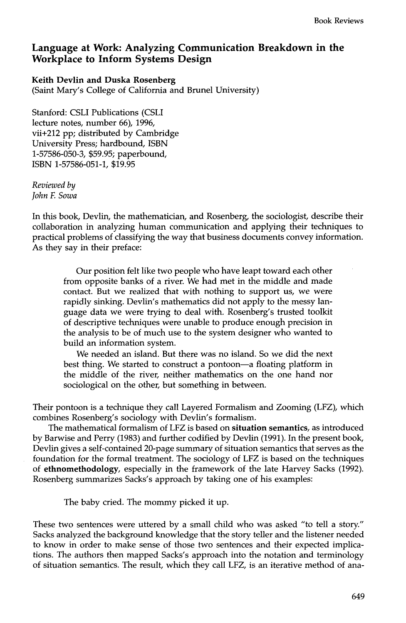## **Language at Work: Analyzing Communication Breakdown in the Workplace to Inform Systems Design**

## **Keith Devlin and Duska Rosenberg**  (Saint Mary's College of California and Brunel University)

Stanford: CSLI Publications (CSLI lecture notes, number 66), 1996, vii+212 pp; distributed by Cambridge University Press; hardbound, ISBN 1-57586-050-3, \$59.95; paperbound, ISBN 1-57586-051-1, \$19.95

*Reviewed by John F. Sowa* 

In this book, Devlin, the mathematician, and Rosenberg, the sociologist, describe their collaboration in analyzing human communication and applying their techniques to practical problems of classifying the way that business documents convey information. As they say in their preface:

Our position felt like two people who have leapt toward each other from opposite banks of a river. We had met in the middle and made contact. But we realized that with nothing to support us, we were rapidly sinking. Devlin's mathematics did not apply to the messy language data we were trying to deal with. Rosenberg's trusted toolkit of descriptive techniques were unable to produce enough precision in the analysis to be of much use to the system designer who wanted to build an information system.

We needed an island. But there was no island. So we did the next best thing. We started to construct a pontoon—a floating platform in the middle of the river, neither mathematics on the one hand nor sociological on the other, but something in between.

Their pontoon is a technique they call Layered Formalism and Zooming (LFZ), which combines Rosenberg's sociology with Devlin's formalism.

The mathematical formalism of LFZ is based on **situation semantics,** as introduced by Barwise and Perry (1983) and further codified by Devlin (1991). In the present book, Devlin gives a self-contained 20-page summary of situation semantics that serves as the foundation for the formal treatment. The sociology of LFZ is based on the techniques of ethnomethodology, especially in the framework of the late Harvey Sacks (1992). Rosenberg summarizes Sacks's approach by taking one of his examples:

The baby cried. The mommy picked it up.

These two sentences were uttered by a small child who was asked "to tell a story." Sacks analyzed the background knowledge that the story teller and the listener needed to know in order to make sense of those two sentences and their expected implications. The authors then mapped Sacks's approach into the notation and terminology of situation semantics. The result, which they call LFZ, is an iterative method of ana-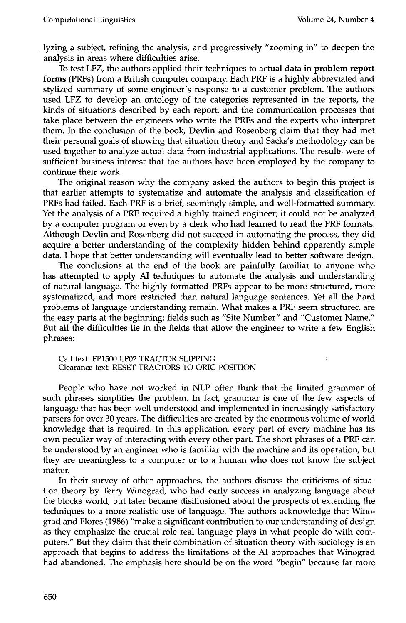$\epsilon$ 

lyzing a subject, refining the analysis, and progressively "zooming in" to deepen the analysis in areas where difficulties arise.

To test LFZ, the authors applied their techniques to actual data in problem report **forms** (PRFs) from a British computer company. Each PRF is a highly abbreviated and stylized summary of some engineer's response to a customer problem. The authors used LFZ to develop an ontology of the categories represented in the reports, the kinds of situations described by each report, and the communication processes that take place between the engineers who write the PRFs and the experts who interpret them. In the conclusion of the book, Devlin and Rosenberg claim that they had met their personal goals of showing that situation theory and Sacks's methodology can be used together to analyze actual data from industrial applications. The results were of sufficient business interest that the authors have been employed by the company to continue their work.

The original reason why the company asked the authors to begin this project is that earlier attempts to systematize and automate the analysis and classification of PRFs had failed. Each PRF is a brief, seemingly simple, and well-formatted summary. Yet the analysis of a PRF required a highly trained engineer; it could not be analyzed by a computer program or even by a clerk who had learned to read the PRF formats. Although Devlin and Rosenberg did not succeed in automating the process, they did acquire a better understanding of the complexity hidden behind apparently simple data. I hope that better understanding will eventually lead to better software design.

The conclusions at the end of the book are painfully familiar to anyone who has attempted to apply AI techniques to automate the analysis and understanding of natural language. The highly formatted PRFs appear to be more structured, more systematized, and more restricted than natural language sentences. Yet all the hard problems of language understanding remain. What makes a PRF seem structured are the easy parts at the beginning: fields such as "Site Number" and "Customer Name." But all the difficulties lie in the fields that allow the engineer to write a few English phrases:

Call text: FP1500 LP02 TRACTOR SLIPPING Clearance text: RESET TRACTORS TO ORIG POSITION

People who have not worked in NLP often think that the limited grammar of such phrases simplifies the problem. In fact, grammar is one of the few aspects of language that has been well understood and implemented in increasingly satisfactory parsers for over 30 years. The difficulties are created by the enormous volume of world knowledge that is required. In this application, every part of every machine has its own peculiar way of interacting with every other part. The short phrases of a PRF can be understood by an engineer who is familiar with the machine and its operation, but they are meaningless to a computer or to a human who does not know the subject matter.

In their survey of other approaches, the authors discuss the criticisms of situation theory by Terry Winograd, who had early success in analyzing language about the blocks world, but later became disillusioned about the prospects of extending the techniques to a more realistic use of language. The authors acknowledge that Winograd and Flores (1986) "make a significant contribution to our understanding of design as they emphasize the crucial role real language plays in what people do with computers." But they claim that their combination of situation theory with sociology is an approach that begins to address the limitations of the AI approaches that Winograd had abandoned. The emphasis here should be on the word "begin" because far more